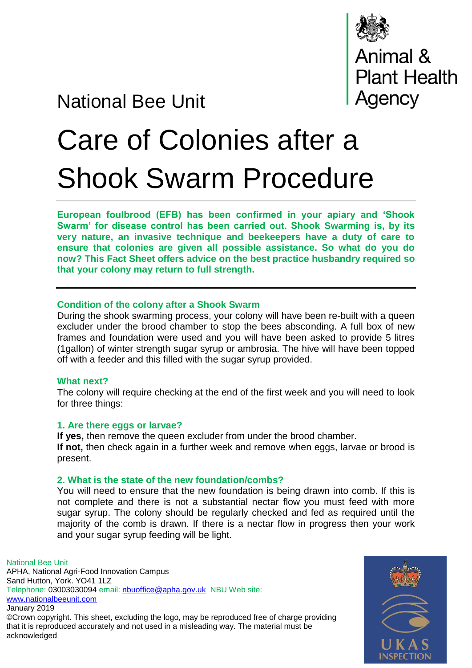

# National Bee Unit

# Care of Colonies after a Shook Swarm Procedure

**European foulbrood (EFB) has been confirmed in your apiary and 'Shook Swarm' for disease control has been carried out. Shook Swarming is, by its very nature, an invasive technique and beekeepers have a duty of care to ensure that colonies are given all possible assistance. So what do you do now? This Fact Sheet offers advice on the best practice husbandry required so that your colony may return to full strength.**

# **Condition of the colony after a Shook Swarm**

During the shook swarming process, your colony will have been re-built with a queen excluder under the brood chamber to stop the bees absconding. A full box of new frames and foundation were used and you will have been asked to provide 5 litres (1gallon) of winter strength sugar syrup or ambrosia. The hive will have been topped off with a feeder and this filled with the sugar syrup provided.

### **What next?**

acknowledged

The colony will require checking at the end of the first week and you will need to look for three things:

### **1. Are there eggs or larvae?**

**If yes,** then remove the queen excluder from under the brood chamber. **If not,** then check again in a further week and remove when eggs, larvae or brood is present.

# **2. What is the state of the new foundation/combs?**

You will need to ensure that the new foundation is being drawn into comb. If this is not complete and there is not a substantial nectar flow you must feed with more sugar syrup. The colony should be regularly checked and fed as required until the majority of the comb is drawn. If there is a nectar flow in progress then your work and your sugar syrup feeding will be light.

National Bee Unit APHA, National Agri-Food Innovation Campus Sand Hutton, York. YO41 1LZ Telephone: 03003030094 email: [nbuoffice@apha.gov.uk](mailto:nbuoffice@apha.gov.uk) NBU Web site: [www.nationalbeeunit.com](http://www.nationalbeeunit.com/) January 2019 ©Crown copyright. This sheet, excluding the logo, may be reproduced free of charge providing that it is reproduced accurately and not used in a misleading way. The material must be